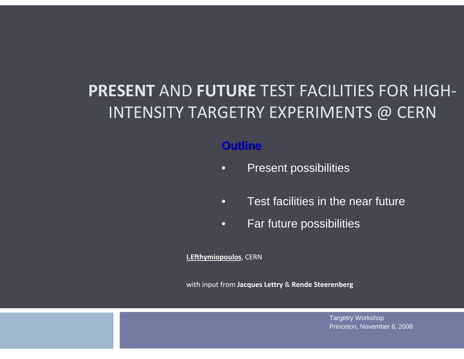### **PRESENT** AND **FUTURE** TEST FACILITIES FOR HIGH‐ INTENSITY TARGETRY EXPERIMENTS @ CERN

#### **Outline Outline**

- •Present possibilities
- •Test facilities in the near future
- •Far future possibilities

**I.Efthymiopoulos**, CERN

with input from **Jacques Lettry** & **Rende Steerenberg**

Targetry Workshop Princeton, November 6, 2008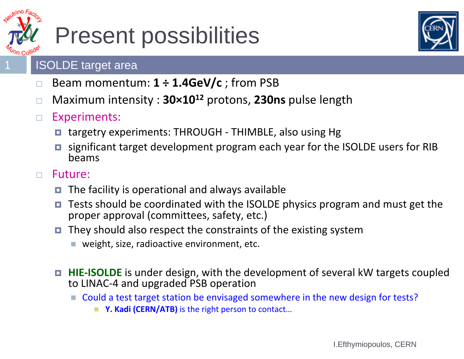

## Present possibilities



### ISOLDE target area

- $\Box$ □ Beam momentum: 1  $\div$  1.4GeV/c ; from PSB
- $\Box$ Maximum intensity : **30×10<sup>12</sup>** protons, **230ns** pulse length
- $\Box$  Experiments:
	- targetry experiments: THROUGH THIMBLE, also using Hg
	- □ significant target development program each year for the ISOLDE users for RIB beams
- $\Box$  Future:
	- □ The facility is operational and always available
	- □ Tests should be coordinated with the ISOLDE physics program and must get the proper approval (committees, safety, etc.)
	- $\Box$  They should also respect the constraints of the existing system
		- weight, size, radioactive environment, etc.
	- **HIE-ISOLDE** is under design, with the development of several kW targets coupled to LINAC ‐ 4 and upgraded PSB operation
		- Could a test target station be envisaged somewhere in the new design for tests?
			- Y. Kadi (CERN/ATB) is the right person to contact...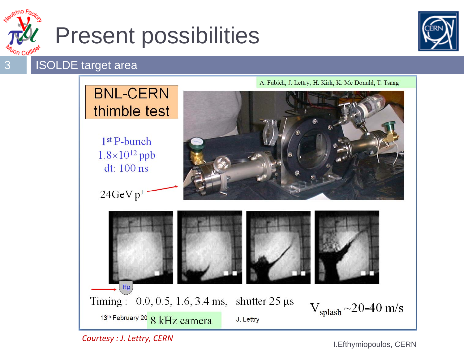

## Present possibilities



ISOLDE target area



*Courtesy : J. Lettry, CERN*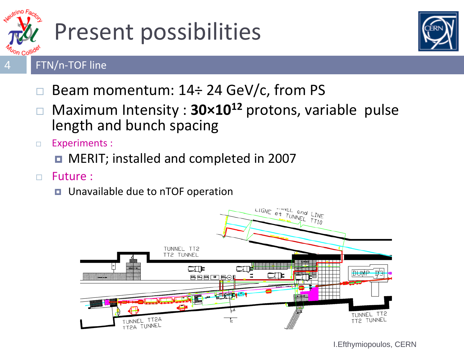

# Present possibilities



#### FTN/n‐TOF line

- □ Beam momentum: 14÷ 24 GeV/c, from PS
- $\Box$  Maximum Intensity : **30×10<sup>12</sup>** protons, variable pulse length and bunch spacing
- $\Box$  Experiments :
	- MERIT; installed and completed in 2007
- $\Box$  Future :
	- Unavailable due to nTOF operation

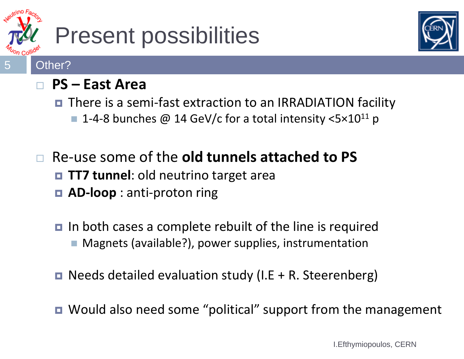

## Present possibilities



#### $\Box$ **PS – East Area**

■ There is a semi-fast extraction to an IRRADIATION facility

■ 1-4-8 bunches @ 14 GeV/c for a total intensity <5×10<sup>11</sup> p

#### $\Box$  Re ‐use some of the **old tunnels attached to PS TT7 tunnel**: old neutrino target area ■ AD-loop : anti-proton ring

- In both cases a complete rebuilt of the line is required ■ Magnets (available?), power supplies, instrumentation
- Needs detailed evaluation study (I.E + R. Steerenberg)
- Would also need some "political" support from the management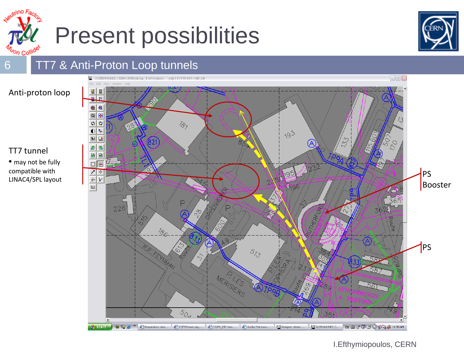



### TT7 & Anti-Proton Loop tunnels

6

TT7 tunnel

• may not be fully compatible with

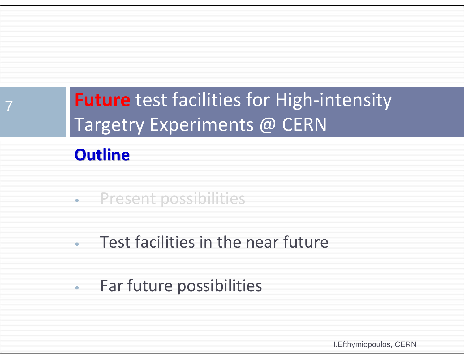## **Future** test facilities for High‐intensity Targetry Experiments @ CERN

### **Outline Outline**

7

- •Present possibilities
- •Test facilities in the near future
- •Far future possibilities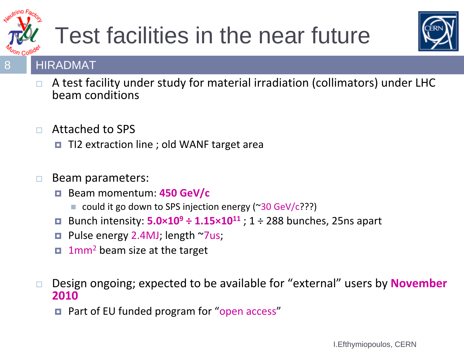

# Test facilities in the near future



### HIRADMAT

- $\Box$ A test facility under study for material irradiation (collimators) under LHC beam conditions
- $\Box$  Attached to SPS
	- □ TI2 extraction line ; old WANF target area

#### $\Box$ Beam parameters:

- Beam momentum: **450 GeV/c**
	- could it go down to SPS injection energy (~30 GeV/c???)
- □ Bunch intensity: **5.0×10 9 ÷ 1.15×1011** ; 1 <sup>÷</sup> 288 bunches, 25ns apart
- $\Box$ ■ Pulse energy 2.4MJ; length ~7us;
- 1mm<sup>2</sup> beam size at the target
- $\Box$  Design ongoing; expected to be available for "external" users by **November 2010**
	- Part of EU funded program for "open access"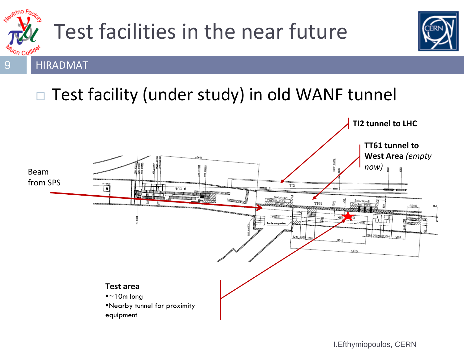

## Test facilities in the near future



HIRADMAT

#### $\Box$ Test facility (under study) in old WANF tunnel

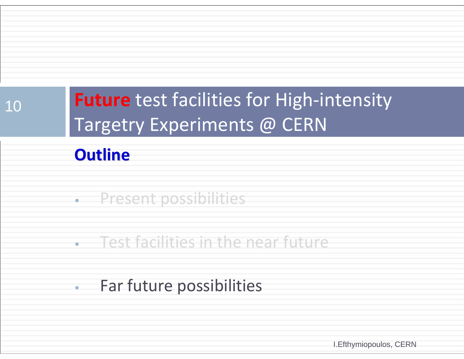## **Future** test facilities for High‐intensity Targetry Experiments @ CERN

### **Outline Outline**

10

- •Present possibilities
- •Test facilities in the near future
- •Far future possibilities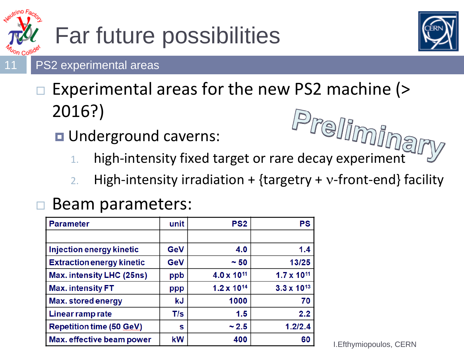

# Far future possibilities



#### PS2 experimental areas

### □ Experimental areas for the new PS2 machine (> 2016?)  $\epsilon$ )<br>derground caverns:<br>high-intensity fixed target or rare decay experiment

- **u** Underground caverns:
	- 1.
	- 2.High-intensity irradiation + {targetry +  $v$ -front-end} facility

#### $\Box$ Beam parameters:

| <b>Parameter</b>                 | unit       | PS <sub>2</sub>        | <b>PS</b>            |
|----------------------------------|------------|------------------------|----------------------|
|                                  |            |                        |                      |
| Injection energy kinetic         | GeV        | 4.0                    | 1.4                  |
| <b>Extraction energy kinetic</b> | <b>GeV</b> | ~50                    | 13/25                |
| Max. intensity LHC (25ns)        | ppb        | 4.0 x 10 <sup>11</sup> | $1.7 \times 10^{11}$ |
| <b>Max. intensity FT</b>         | ppp        | $1.2 \times 10^{14}$   | $3.3 \times 10^{13}$ |
| Max. stored energy               | kJ         | 1000                   | 70                   |
| Linear ramp rate                 | T/s        | 1.5                    | 2.2                  |
| <b>Repetition time (50 GeV)</b>  | s          | ~2.5                   | 1.2/2.4              |
| Max. effective beam power        | kW         | 400                    | 60                   |